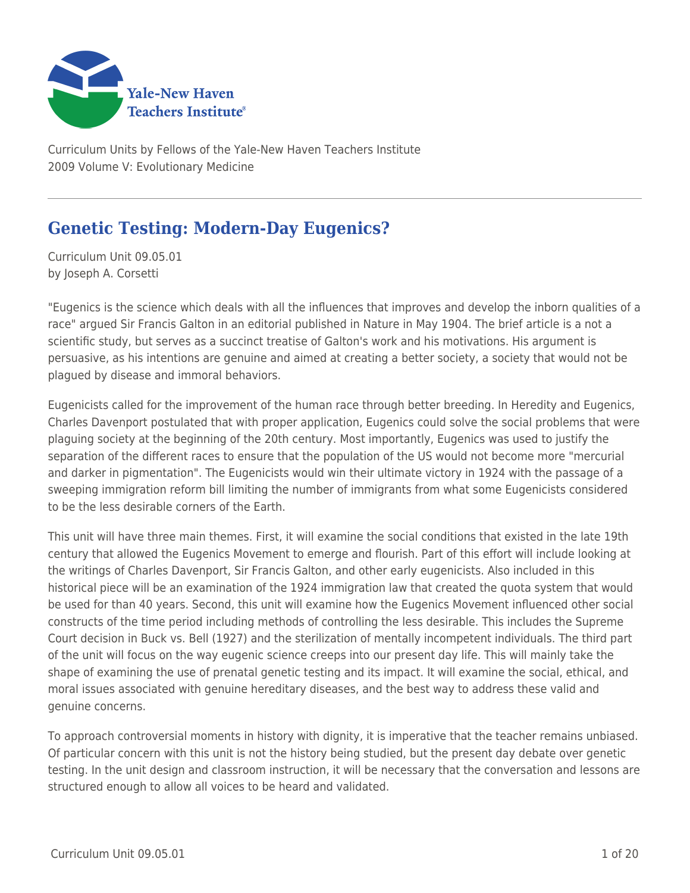

Curriculum Units by Fellows of the Yale-New Haven Teachers Institute 2009 Volume V: Evolutionary Medicine

# **Genetic Testing: Modern-Day Eugenics?**

Curriculum Unit 09.05.01 by Joseph A. Corsetti

"Eugenics is the science which deals with all the influences that improves and develop the inborn qualities of a race" argued Sir Francis Galton in an editorial published in Nature in May 1904. The brief article is a not a scientific study, but serves as a succinct treatise of Galton's work and his motivations. His argument is persuasive, as his intentions are genuine and aimed at creating a better society, a society that would not be plagued by disease and immoral behaviors.

Eugenicists called for the improvement of the human race through better breeding. In Heredity and Eugenics, Charles Davenport postulated that with proper application, Eugenics could solve the social problems that were plaguing society at the beginning of the 20th century. Most importantly, Eugenics was used to justify the separation of the different races to ensure that the population of the US would not become more "mercurial and darker in pigmentation". The Eugenicists would win their ultimate victory in 1924 with the passage of a sweeping immigration reform bill limiting the number of immigrants from what some Eugenicists considered to be the less desirable corners of the Earth.

This unit will have three main themes. First, it will examine the social conditions that existed in the late 19th century that allowed the Eugenics Movement to emerge and flourish. Part of this effort will include looking at the writings of Charles Davenport, Sir Francis Galton, and other early eugenicists. Also included in this historical piece will be an examination of the 1924 immigration law that created the quota system that would be used for than 40 years. Second, this unit will examine how the Eugenics Movement influenced other social constructs of the time period including methods of controlling the less desirable. This includes the Supreme Court decision in Buck vs. Bell (1927) and the sterilization of mentally incompetent individuals. The third part of the unit will focus on the way eugenic science creeps into our present day life. This will mainly take the shape of examining the use of prenatal genetic testing and its impact. It will examine the social, ethical, and moral issues associated with genuine hereditary diseases, and the best way to address these valid and genuine concerns.

To approach controversial moments in history with dignity, it is imperative that the teacher remains unbiased. Of particular concern with this unit is not the history being studied, but the present day debate over genetic testing. In the unit design and classroom instruction, it will be necessary that the conversation and lessons are structured enough to allow all voices to be heard and validated.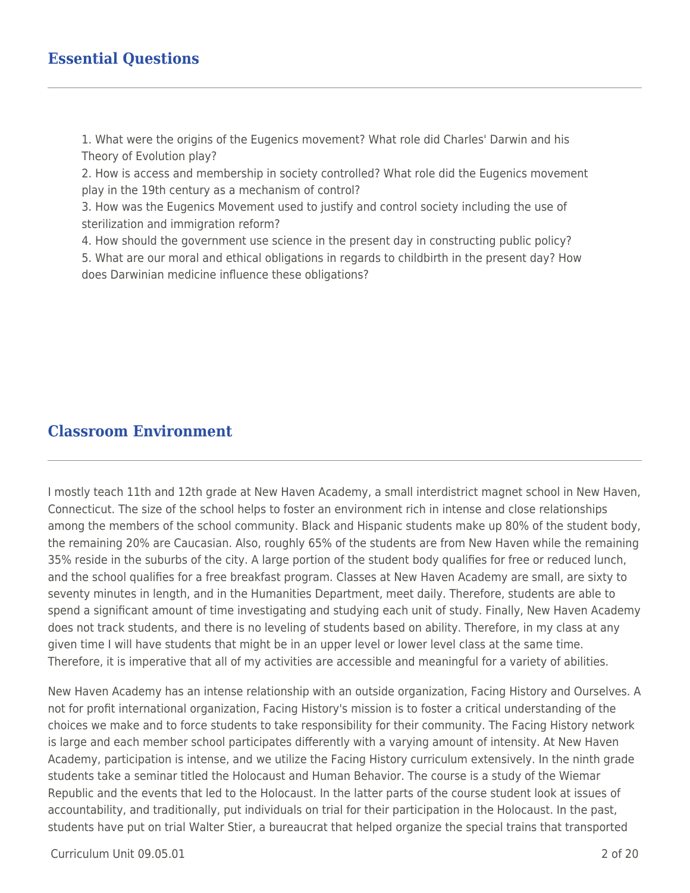1. What were the origins of the Eugenics movement? What role did Charles' Darwin and his Theory of Evolution play?

2. How is access and membership in society controlled? What role did the Eugenics movement play in the 19th century as a mechanism of control?

3. How was the Eugenics Movement used to justify and control society including the use of sterilization and immigration reform?

4. How should the government use science in the present day in constructing public policy? 5. What are our moral and ethical obligations in regards to childbirth in the present day? How does Darwinian medicine influence these obligations?

# **Classroom Environment**

I mostly teach 11th and 12th grade at New Haven Academy, a small interdistrict magnet school in New Haven, Connecticut. The size of the school helps to foster an environment rich in intense and close relationships among the members of the school community. Black and Hispanic students make up 80% of the student body, the remaining 20% are Caucasian. Also, roughly 65% of the students are from New Haven while the remaining 35% reside in the suburbs of the city. A large portion of the student body qualifies for free or reduced lunch, and the school qualifies for a free breakfast program. Classes at New Haven Academy are small, are sixty to seventy minutes in length, and in the Humanities Department, meet daily. Therefore, students are able to spend a significant amount of time investigating and studying each unit of study. Finally, New Haven Academy does not track students, and there is no leveling of students based on ability. Therefore, in my class at any given time I will have students that might be in an upper level or lower level class at the same time. Therefore, it is imperative that all of my activities are accessible and meaningful for a variety of abilities.

New Haven Academy has an intense relationship with an outside organization, Facing History and Ourselves. A not for profit international organization, Facing History's mission is to foster a critical understanding of the choices we make and to force students to take responsibility for their community. The Facing History network is large and each member school participates differently with a varying amount of intensity. At New Haven Academy, participation is intense, and we utilize the Facing History curriculum extensively. In the ninth grade students take a seminar titled the Holocaust and Human Behavior. The course is a study of the Wiemar Republic and the events that led to the Holocaust. In the latter parts of the course student look at issues of accountability, and traditionally, put individuals on trial for their participation in the Holocaust. In the past, students have put on trial Walter Stier, a bureaucrat that helped organize the special trains that transported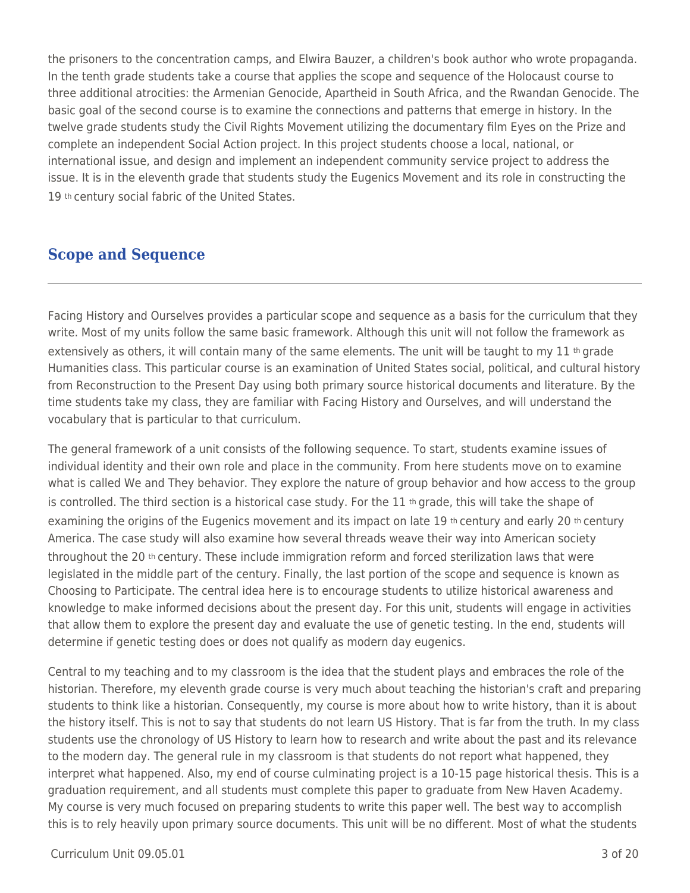the prisoners to the concentration camps, and Elwira Bauzer, a children's book author who wrote propaganda. In the tenth grade students take a course that applies the scope and sequence of the Holocaust course to three additional atrocities: the Armenian Genocide, Apartheid in South Africa, and the Rwandan Genocide. The basic goal of the second course is to examine the connections and patterns that emerge in history. In the twelve grade students study the Civil Rights Movement utilizing the documentary film Eyes on the Prize and complete an independent Social Action project. In this project students choose a local, national, or international issue, and design and implement an independent community service project to address the issue. It is in the eleventh grade that students study the Eugenics Movement and its role in constructing the 19 th century social fabric of the United States.

## **Scope and Sequence**

Facing History and Ourselves provides a particular scope and sequence as a basis for the curriculum that they write. Most of my units follow the same basic framework. Although this unit will not follow the framework as extensively as others, it will contain many of the same elements. The unit will be taught to my 11  $th$  grade Humanities class. This particular course is an examination of United States social, political, and cultural history from Reconstruction to the Present Day using both primary source historical documents and literature. By the time students take my class, they are familiar with Facing History and Ourselves, and will understand the vocabulary that is particular to that curriculum.

The general framework of a unit consists of the following sequence. To start, students examine issues of individual identity and their own role and place in the community. From here students move on to examine what is called We and They behavior. They explore the nature of group behavior and how access to the group is controlled. The third section is a historical case study. For the 11<sup>th</sup> grade, this will take the shape of examining the origins of the Eugenics movement and its impact on late 19 th century and early 20 th century America. The case study will also examine how several threads weave their way into American society throughout the 20 th century. These include immigration reform and forced sterilization laws that were legislated in the middle part of the century. Finally, the last portion of the scope and sequence is known as Choosing to Participate. The central idea here is to encourage students to utilize historical awareness and knowledge to make informed decisions about the present day. For this unit, students will engage in activities that allow them to explore the present day and evaluate the use of genetic testing. In the end, students will determine if genetic testing does or does not qualify as modern day eugenics.

Central to my teaching and to my classroom is the idea that the student plays and embraces the role of the historian. Therefore, my eleventh grade course is very much about teaching the historian's craft and preparing students to think like a historian. Consequently, my course is more about how to write history, than it is about the history itself. This is not to say that students do not learn US History. That is far from the truth. In my class students use the chronology of US History to learn how to research and write about the past and its relevance to the modern day. The general rule in my classroom is that students do not report what happened, they interpret what happened. Also, my end of course culminating project is a 10-15 page historical thesis. This is a graduation requirement, and all students must complete this paper to graduate from New Haven Academy. My course is very much focused on preparing students to write this paper well. The best way to accomplish this is to rely heavily upon primary source documents. This unit will be no different. Most of what the students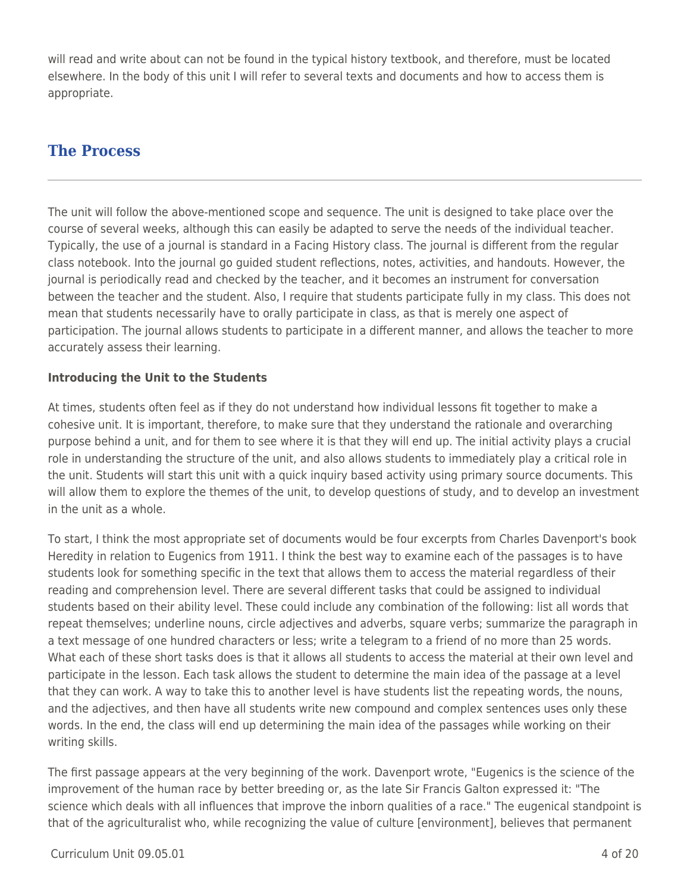will read and write about can not be found in the typical history textbook, and therefore, must be located elsewhere. In the body of this unit I will refer to several texts and documents and how to access them is appropriate.

# **The Process**

The unit will follow the above-mentioned scope and sequence. The unit is designed to take place over the course of several weeks, although this can easily be adapted to serve the needs of the individual teacher. Typically, the use of a journal is standard in a Facing History class. The journal is different from the regular class notebook. Into the journal go guided student reflections, notes, activities, and handouts. However, the journal is periodically read and checked by the teacher, and it becomes an instrument for conversation between the teacher and the student. Also, I require that students participate fully in my class. This does not mean that students necessarily have to orally participate in class, as that is merely one aspect of participation. The journal allows students to participate in a different manner, and allows the teacher to more accurately assess their learning.

#### **Introducing the Unit to the Students**

At times, students often feel as if they do not understand how individual lessons fit together to make a cohesive unit. It is important, therefore, to make sure that they understand the rationale and overarching purpose behind a unit, and for them to see where it is that they will end up. The initial activity plays a crucial role in understanding the structure of the unit, and also allows students to immediately play a critical role in the unit. Students will start this unit with a quick inquiry based activity using primary source documents. This will allow them to explore the themes of the unit, to develop questions of study, and to develop an investment in the unit as a whole.

To start, I think the most appropriate set of documents would be four excerpts from Charles Davenport's book Heredity in relation to Eugenics from 1911. I think the best way to examine each of the passages is to have students look for something specific in the text that allows them to access the material regardless of their reading and comprehension level. There are several different tasks that could be assigned to individual students based on their ability level. These could include any combination of the following: list all words that repeat themselves; underline nouns, circle adjectives and adverbs, square verbs; summarize the paragraph in a text message of one hundred characters or less; write a telegram to a friend of no more than 25 words. What each of these short tasks does is that it allows all students to access the material at their own level and participate in the lesson. Each task allows the student to determine the main idea of the passage at a level that they can work. A way to take this to another level is have students list the repeating words, the nouns, and the adjectives, and then have all students write new compound and complex sentences uses only these words. In the end, the class will end up determining the main idea of the passages while working on their writing skills.

The first passage appears at the very beginning of the work. Davenport wrote, "Eugenics is the science of the improvement of the human race by better breeding or, as the late Sir Francis Galton expressed it: "The science which deals with all influences that improve the inborn qualities of a race." The eugenical standpoint is that of the agriculturalist who, while recognizing the value of culture [environment], believes that permanent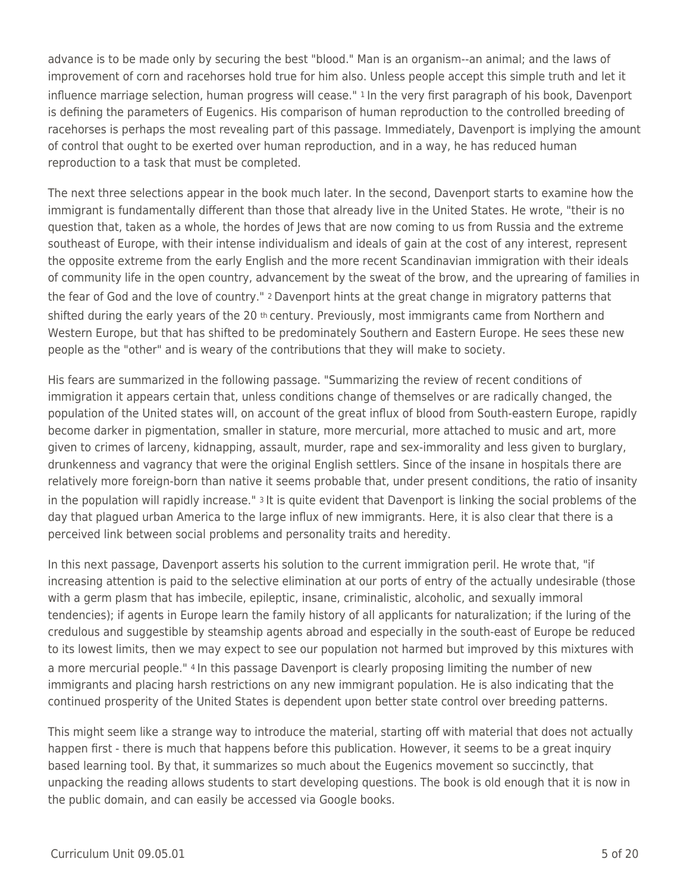advance is to be made only by securing the best "blood." Man is an organism--an animal; and the laws of improvement of corn and racehorses hold true for him also. Unless people accept this simple truth and let it influence marriage selection, human progress will cease." 1 In the very first paragraph of his book, Davenport is defining the parameters of Eugenics. His comparison of human reproduction to the controlled breeding of racehorses is perhaps the most revealing part of this passage. Immediately, Davenport is implying the amount of control that ought to be exerted over human reproduction, and in a way, he has reduced human reproduction to a task that must be completed.

The next three selections appear in the book much later. In the second, Davenport starts to examine how the immigrant is fundamentally different than those that already live in the United States. He wrote, "their is no question that, taken as a whole, the hordes of Jews that are now coming to us from Russia and the extreme southeast of Europe, with their intense individualism and ideals of gain at the cost of any interest, represent the opposite extreme from the early English and the more recent Scandinavian immigration with their ideals of community life in the open country, advancement by the sweat of the brow, and the uprearing of families in the fear of God and the love of country." 2 Davenport hints at the great change in migratory patterns that shifted during the early years of the 20 th century. Previously, most immigrants came from Northern and Western Europe, but that has shifted to be predominately Southern and Eastern Europe. He sees these new people as the "other" and is weary of the contributions that they will make to society.

His fears are summarized in the following passage. "Summarizing the review of recent conditions of immigration it appears certain that, unless conditions change of themselves or are radically changed, the population of the United states will, on account of the great influx of blood from South-eastern Europe, rapidly become darker in pigmentation, smaller in stature, more mercurial, more attached to music and art, more given to crimes of larceny, kidnapping, assault, murder, rape and sex-immorality and less given to burglary, drunkenness and vagrancy that were the original English settlers. Since of the insane in hospitals there are relatively more foreign-born than native it seems probable that, under present conditions, the ratio of insanity in the population will rapidly increase." 3 It is quite evident that Davenport is linking the social problems of the day that plagued urban America to the large influx of new immigrants. Here, it is also clear that there is a perceived link between social problems and personality traits and heredity.

In this next passage, Davenport asserts his solution to the current immigration peril. He wrote that, "if increasing attention is paid to the selective elimination at our ports of entry of the actually undesirable (those with a germ plasm that has imbecile, epileptic, insane, criminalistic, alcoholic, and sexually immoral tendencies); if agents in Europe learn the family history of all applicants for naturalization; if the luring of the credulous and suggestible by steamship agents abroad and especially in the south-east of Europe be reduced to its lowest limits, then we may expect to see our population not harmed but improved by this mixtures with a more mercurial people." 4 In this passage Davenport is clearly proposing limiting the number of new immigrants and placing harsh restrictions on any new immigrant population. He is also indicating that the continued prosperity of the United States is dependent upon better state control over breeding patterns.

This might seem like a strange way to introduce the material, starting off with material that does not actually happen first - there is much that happens before this publication. However, it seems to be a great inquiry based learning tool. By that, it summarizes so much about the Eugenics movement so succinctly, that unpacking the reading allows students to start developing questions. The book is old enough that it is now in the public domain, and can easily be accessed via Google books.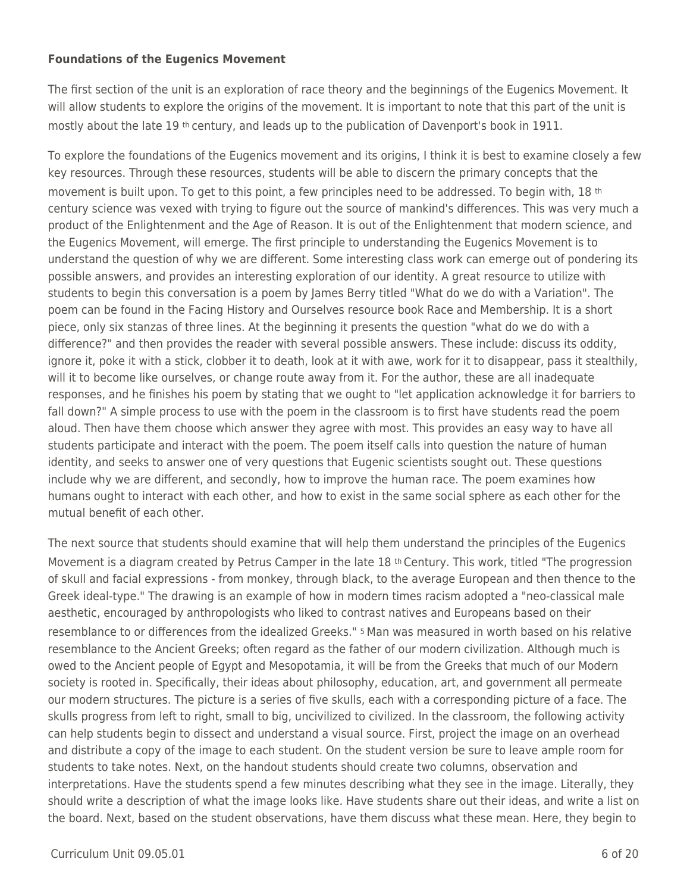#### **Foundations of the Eugenics Movement**

The first section of the unit is an exploration of race theory and the beginnings of the Eugenics Movement. It will allow students to explore the origins of the movement. It is important to note that this part of the unit is mostly about the late 19 th century, and leads up to the publication of Davenport's book in 1911.

To explore the foundations of the Eugenics movement and its origins, I think it is best to examine closely a few key resources. Through these resources, students will be able to discern the primary concepts that the movement is built upon. To get to this point, a few principles need to be addressed. To begin with, 18 th century science was vexed with trying to figure out the source of mankind's differences. This was very much a product of the Enlightenment and the Age of Reason. It is out of the Enlightenment that modern science, and the Eugenics Movement, will emerge. The first principle to understanding the Eugenics Movement is to understand the question of why we are different. Some interesting class work can emerge out of pondering its possible answers, and provides an interesting exploration of our identity. A great resource to utilize with students to begin this conversation is a poem by James Berry titled "What do we do with a Variation". The poem can be found in the Facing History and Ourselves resource book Race and Membership. It is a short piece, only six stanzas of three lines. At the beginning it presents the question "what do we do with a difference?" and then provides the reader with several possible answers. These include: discuss its oddity, ignore it, poke it with a stick, clobber it to death, look at it with awe, work for it to disappear, pass it stealthily, will it to become like ourselves, or change route away from it. For the author, these are all inadequate responses, and he finishes his poem by stating that we ought to "let application acknowledge it for barriers to fall down?" A simple process to use with the poem in the classroom is to first have students read the poem aloud. Then have them choose which answer they agree with most. This provides an easy way to have all students participate and interact with the poem. The poem itself calls into question the nature of human identity, and seeks to answer one of very questions that Eugenic scientists sought out. These questions include why we are different, and secondly, how to improve the human race. The poem examines how humans ought to interact with each other, and how to exist in the same social sphere as each other for the mutual benefit of each other.

The next source that students should examine that will help them understand the principles of the Eugenics Movement is a diagram created by Petrus Camper in the late 18 th Century. This work, titled "The progression of skull and facial expressions - from monkey, through black, to the average European and then thence to the Greek ideal-type." The drawing is an example of how in modern times racism adopted a "neo-classical male aesthetic, encouraged by anthropologists who liked to contrast natives and Europeans based on their resemblance to or differences from the idealized Greeks." 5 Man was measured in worth based on his relative resemblance to the Ancient Greeks; often regard as the father of our modern civilization. Although much is owed to the Ancient people of Egypt and Mesopotamia, it will be from the Greeks that much of our Modern society is rooted in. Specifically, their ideas about philosophy, education, art, and government all permeate our modern structures. The picture is a series of five skulls, each with a corresponding picture of a face. The skulls progress from left to right, small to big, uncivilized to civilized. In the classroom, the following activity can help students begin to dissect and understand a visual source. First, project the image on an overhead and distribute a copy of the image to each student. On the student version be sure to leave ample room for students to take notes. Next, on the handout students should create two columns, observation and interpretations. Have the students spend a few minutes describing what they see in the image. Literally, they should write a description of what the image looks like. Have students share out their ideas, and write a list on the board. Next, based on the student observations, have them discuss what these mean. Here, they begin to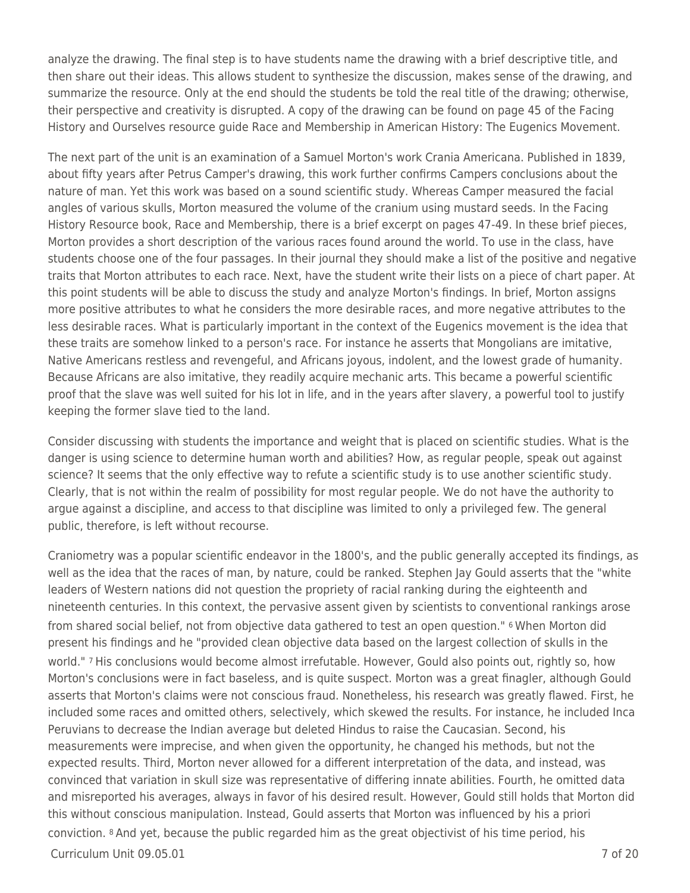analyze the drawing. The final step is to have students name the drawing with a brief descriptive title, and then share out their ideas. This allows student to synthesize the discussion, makes sense of the drawing, and summarize the resource. Only at the end should the students be told the real title of the drawing; otherwise, their perspective and creativity is disrupted. A copy of the drawing can be found on page 45 of the Facing History and Ourselves resource guide Race and Membership in American History: The Eugenics Movement.

The next part of the unit is an examination of a Samuel Morton's work Crania Americana. Published in 1839, about fifty years after Petrus Camper's drawing, this work further confirms Campers conclusions about the nature of man. Yet this work was based on a sound scientific study. Whereas Camper measured the facial angles of various skulls, Morton measured the volume of the cranium using mustard seeds. In the Facing History Resource book, Race and Membership, there is a brief excerpt on pages 47-49. In these brief pieces, Morton provides a short description of the various races found around the world. To use in the class, have students choose one of the four passages. In their journal they should make a list of the positive and negative traits that Morton attributes to each race. Next, have the student write their lists on a piece of chart paper. At this point students will be able to discuss the study and analyze Morton's findings. In brief, Morton assigns more positive attributes to what he considers the more desirable races, and more negative attributes to the less desirable races. What is particularly important in the context of the Eugenics movement is the idea that these traits are somehow linked to a person's race. For instance he asserts that Mongolians are imitative, Native Americans restless and revengeful, and Africans joyous, indolent, and the lowest grade of humanity. Because Africans are also imitative, they readily acquire mechanic arts. This became a powerful scientific proof that the slave was well suited for his lot in life, and in the years after slavery, a powerful tool to justify keeping the former slave tied to the land.

Consider discussing with students the importance and weight that is placed on scientific studies. What is the danger is using science to determine human worth and abilities? How, as regular people, speak out against science? It seems that the only effective way to refute a scientific study is to use another scientific study. Clearly, that is not within the realm of possibility for most regular people. We do not have the authority to argue against a discipline, and access to that discipline was limited to only a privileged few. The general public, therefore, is left without recourse.

 $C$ urriculum Unit 09.05.01  $\overline{2}$  of 20 Craniometry was a popular scientific endeavor in the 1800's, and the public generally accepted its findings, as well as the idea that the races of man, by nature, could be ranked. Stephen Jay Gould asserts that the "white leaders of Western nations did not question the propriety of racial ranking during the eighteenth and nineteenth centuries. In this context, the pervasive assent given by scientists to conventional rankings arose from shared social belief, not from objective data gathered to test an open question." 6 When Morton did present his findings and he "provided clean objective data based on the largest collection of skulls in the world." 7 His conclusions would become almost irrefutable. However, Gould also points out, rightly so, how Morton's conclusions were in fact baseless, and is quite suspect. Morton was a great finagler, although Gould asserts that Morton's claims were not conscious fraud. Nonetheless, his research was greatly flawed. First, he included some races and omitted others, selectively, which skewed the results. For instance, he included Inca Peruvians to decrease the Indian average but deleted Hindus to raise the Caucasian. Second, his measurements were imprecise, and when given the opportunity, he changed his methods, but not the expected results. Third, Morton never allowed for a different interpretation of the data, and instead, was convinced that variation in skull size was representative of differing innate abilities. Fourth, he omitted data and misreported his averages, always in favor of his desired result. However, Gould still holds that Morton did this without conscious manipulation. Instead, Gould asserts that Morton was influenced by his a priori conviction. 8 And yet, because the public regarded him as the great objectivist of his time period, his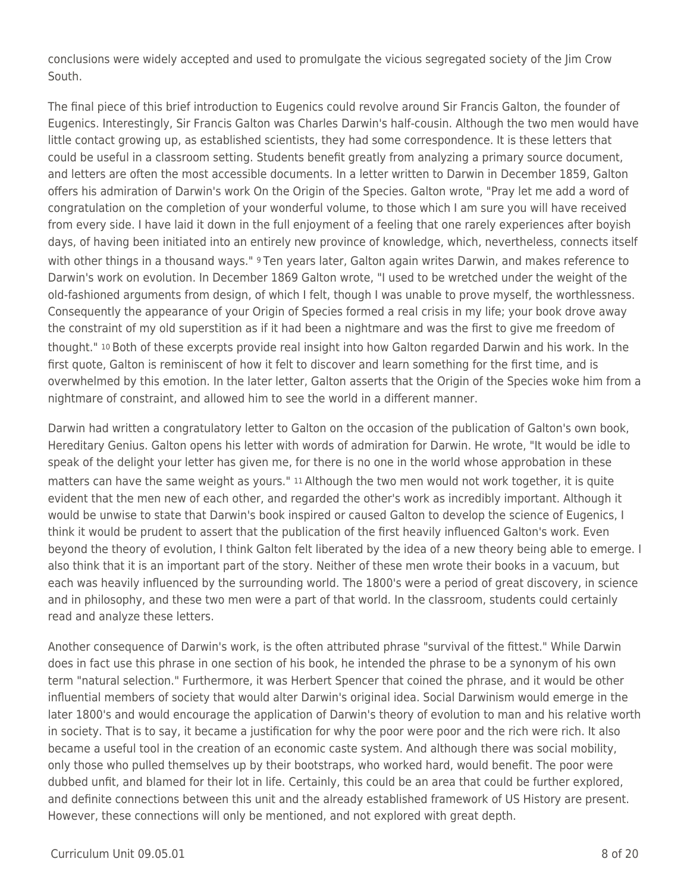conclusions were widely accepted and used to promulgate the vicious segregated society of the Jim Crow South.

The final piece of this brief introduction to Eugenics could revolve around Sir Francis Galton, the founder of Eugenics. Interestingly, Sir Francis Galton was Charles Darwin's half-cousin. Although the two men would have little contact growing up, as established scientists, they had some correspondence. It is these letters that could be useful in a classroom setting. Students benefit greatly from analyzing a primary source document, and letters are often the most accessible documents. In a letter written to Darwin in December 1859, Galton offers his admiration of Darwin's work On the Origin of the Species. Galton wrote, "Pray let me add a word of congratulation on the completion of your wonderful volume, to those which I am sure you will have received from every side. I have laid it down in the full enjoyment of a feeling that one rarely experiences after boyish days, of having been initiated into an entirely new province of knowledge, which, nevertheless, connects itself with other things in a thousand ways." <sup>9</sup> Ten years later, Galton again writes Darwin, and makes reference to Darwin's work on evolution. In December 1869 Galton wrote, "I used to be wretched under the weight of the old-fashioned arguments from design, of which I felt, though I was unable to prove myself, the worthlessness. Consequently the appearance of your Origin of Species formed a real crisis in my life; your book drove away the constraint of my old superstition as if it had been a nightmare and was the first to give me freedom of thought." 10 Both of these excerpts provide real insight into how Galton regarded Darwin and his work. In the first quote, Galton is reminiscent of how it felt to discover and learn something for the first time, and is overwhelmed by this emotion. In the later letter, Galton asserts that the Origin of the Species woke him from a nightmare of constraint, and allowed him to see the world in a different manner.

Darwin had written a congratulatory letter to Galton on the occasion of the publication of Galton's own book, Hereditary Genius. Galton opens his letter with words of admiration for Darwin. He wrote, "It would be idle to speak of the delight your letter has given me, for there is no one in the world whose approbation in these matters can have the same weight as yours." 11 Although the two men would not work together, it is quite evident that the men new of each other, and regarded the other's work as incredibly important. Although it would be unwise to state that Darwin's book inspired or caused Galton to develop the science of Eugenics, I think it would be prudent to assert that the publication of the first heavily influenced Galton's work. Even beyond the theory of evolution, I think Galton felt liberated by the idea of a new theory being able to emerge. I also think that it is an important part of the story. Neither of these men wrote their books in a vacuum, but each was heavily influenced by the surrounding world. The 1800's were a period of great discovery, in science and in philosophy, and these two men were a part of that world. In the classroom, students could certainly read and analyze these letters.

Another consequence of Darwin's work, is the often attributed phrase "survival of the fittest." While Darwin does in fact use this phrase in one section of his book, he intended the phrase to be a synonym of his own term "natural selection." Furthermore, it was Herbert Spencer that coined the phrase, and it would be other influential members of society that would alter Darwin's original idea. Social Darwinism would emerge in the later 1800's and would encourage the application of Darwin's theory of evolution to man and his relative worth in society. That is to say, it became a justification for why the poor were poor and the rich were rich. It also became a useful tool in the creation of an economic caste system. And although there was social mobility, only those who pulled themselves up by their bootstraps, who worked hard, would benefit. The poor were dubbed unfit, and blamed for their lot in life. Certainly, this could be an area that could be further explored, and definite connections between this unit and the already established framework of US History are present. However, these connections will only be mentioned, and not explored with great depth.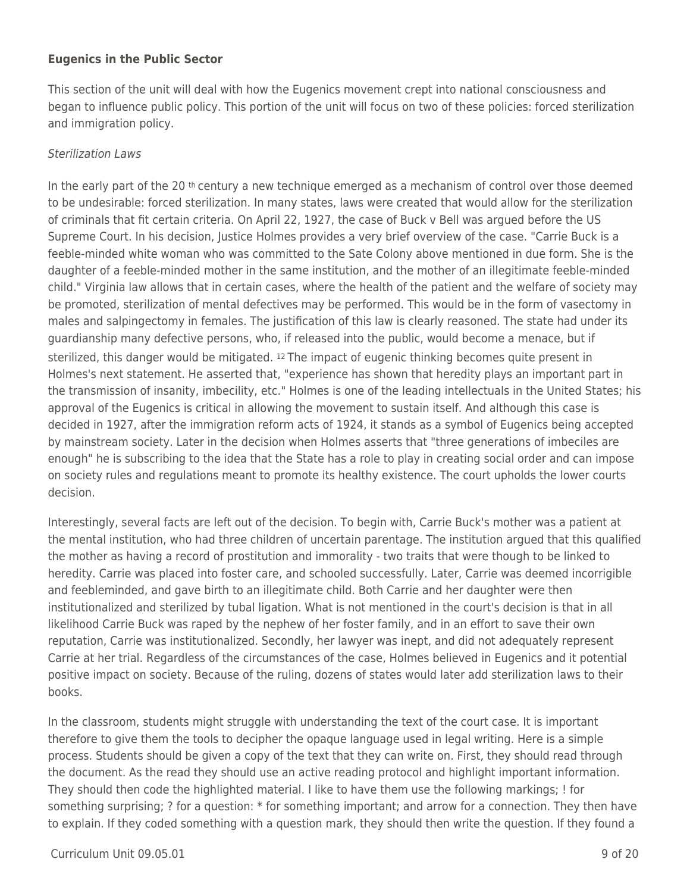#### **Eugenics in the Public Sector**

This section of the unit will deal with how the Eugenics movement crept into national consciousness and began to influence public policy. This portion of the unit will focus on two of these policies: forced sterilization and immigration policy.

#### Sterilization Laws

In the early part of the 20<sup>th</sup> century a new technique emerged as a mechanism of control over those deemed to be undesirable: forced sterilization. In many states, laws were created that would allow for the sterilization of criminals that fit certain criteria. On April 22, 1927, the case of Buck v Bell was argued before the US Supreme Court. In his decision, Justice Holmes provides a very brief overview of the case. "Carrie Buck is a feeble-minded white woman who was committed to the Sate Colony above mentioned in due form. She is the daughter of a feeble-minded mother in the same institution, and the mother of an illegitimate feeble-minded child." Virginia law allows that in certain cases, where the health of the patient and the welfare of society may be promoted, sterilization of mental defectives may be performed. This would be in the form of vasectomy in males and salpingectomy in females. The justification of this law is clearly reasoned. The state had under its guardianship many defective persons, who, if released into the public, would become a menace, but if sterilized, this danger would be mitigated. 12 The impact of eugenic thinking becomes quite present in Holmes's next statement. He asserted that, "experience has shown that heredity plays an important part in the transmission of insanity, imbecility, etc." Holmes is one of the leading intellectuals in the United States; his approval of the Eugenics is critical in allowing the movement to sustain itself. And although this case is decided in 1927, after the immigration reform acts of 1924, it stands as a symbol of Eugenics being accepted by mainstream society. Later in the decision when Holmes asserts that "three generations of imbeciles are enough" he is subscribing to the idea that the State has a role to play in creating social order and can impose on society rules and regulations meant to promote its healthy existence. The court upholds the lower courts decision.

Interestingly, several facts are left out of the decision. To begin with, Carrie Buck's mother was a patient at the mental institution, who had three children of uncertain parentage. The institution argued that this qualified the mother as having a record of prostitution and immorality - two traits that were though to be linked to heredity. Carrie was placed into foster care, and schooled successfully. Later, Carrie was deemed incorrigible and feebleminded, and gave birth to an illegitimate child. Both Carrie and her daughter were then institutionalized and sterilized by tubal ligation. What is not mentioned in the court's decision is that in all likelihood Carrie Buck was raped by the nephew of her foster family, and in an effort to save their own reputation, Carrie was institutionalized. Secondly, her lawyer was inept, and did not adequately represent Carrie at her trial. Regardless of the circumstances of the case, Holmes believed in Eugenics and it potential positive impact on society. Because of the ruling, dozens of states would later add sterilization laws to their books.

In the classroom, students might struggle with understanding the text of the court case. It is important therefore to give them the tools to decipher the opaque language used in legal writing. Here is a simple process. Students should be given a copy of the text that they can write on. First, they should read through the document. As the read they should use an active reading protocol and highlight important information. They should then code the highlighted material. I like to have them use the following markings; ! for something surprising; ? for a question: \* for something important; and arrow for a connection. They then have to explain. If they coded something with a question mark, they should then write the question. If they found a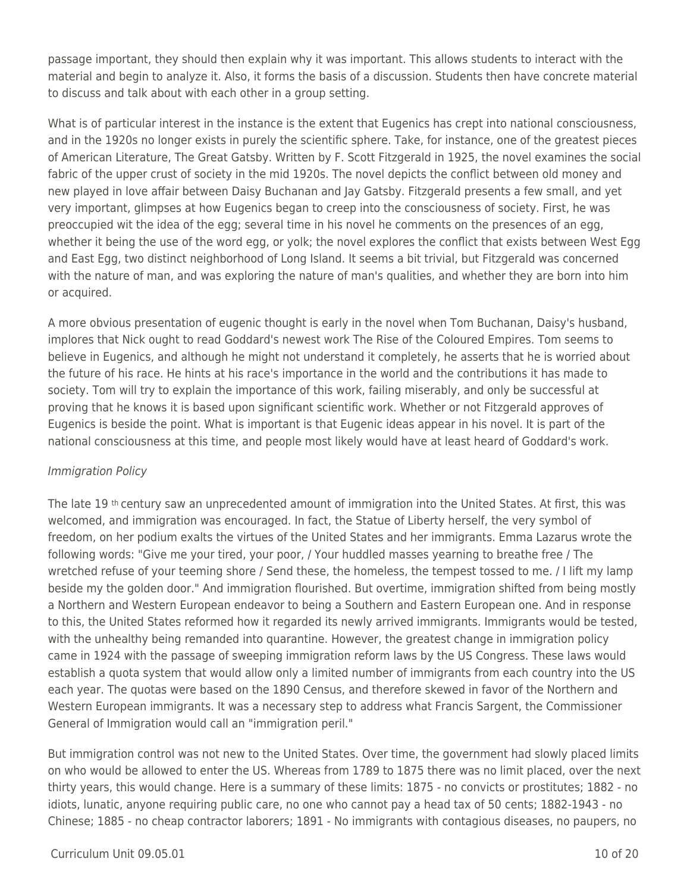passage important, they should then explain why it was important. This allows students to interact with the material and begin to analyze it. Also, it forms the basis of a discussion. Students then have concrete material to discuss and talk about with each other in a group setting.

What is of particular interest in the instance is the extent that Eugenics has crept into national consciousness, and in the 1920s no longer exists in purely the scientific sphere. Take, for instance, one of the greatest pieces of American Literature, The Great Gatsby. Written by F. Scott Fitzgerald in 1925, the novel examines the social fabric of the upper crust of society in the mid 1920s. The novel depicts the conflict between old money and new played in love affair between Daisy Buchanan and Jay Gatsby. Fitzgerald presents a few small, and yet very important, glimpses at how Eugenics began to creep into the consciousness of society. First, he was preoccupied wit the idea of the egg; several time in his novel he comments on the presences of an egg, whether it being the use of the word egg, or yolk; the novel explores the conflict that exists between West Egg and East Egg, two distinct neighborhood of Long Island. It seems a bit trivial, but Fitzgerald was concerned with the nature of man, and was exploring the nature of man's qualities, and whether they are born into him or acquired.

A more obvious presentation of eugenic thought is early in the novel when Tom Buchanan, Daisy's husband, implores that Nick ought to read Goddard's newest work The Rise of the Coloured Empires. Tom seems to believe in Eugenics, and although he might not understand it completely, he asserts that he is worried about the future of his race. He hints at his race's importance in the world and the contributions it has made to society. Tom will try to explain the importance of this work, failing miserably, and only be successful at proving that he knows it is based upon significant scientific work. Whether or not Fitzgerald approves of Eugenics is beside the point. What is important is that Eugenic ideas appear in his novel. It is part of the national consciousness at this time, and people most likely would have at least heard of Goddard's work.

#### Immigration Policy

The late 19 th century saw an unprecedented amount of immigration into the United States. At first, this was welcomed, and immigration was encouraged. In fact, the Statue of Liberty herself, the very symbol of freedom, on her podium exalts the virtues of the United States and her immigrants. Emma Lazarus wrote the following words: "Give me your tired, your poor, / Your huddled masses yearning to breathe free / The wretched refuse of your teeming shore / Send these, the homeless, the tempest tossed to me. / I lift my lamp beside my the golden door." And immigration flourished. But overtime, immigration shifted from being mostly a Northern and Western European endeavor to being a Southern and Eastern European one. And in response to this, the United States reformed how it regarded its newly arrived immigrants. Immigrants would be tested, with the unhealthy being remanded into quarantine. However, the greatest change in immigration policy came in 1924 with the passage of sweeping immigration reform laws by the US Congress. These laws would establish a quota system that would allow only a limited number of immigrants from each country into the US each year. The quotas were based on the 1890 Census, and therefore skewed in favor of the Northern and Western European immigrants. It was a necessary step to address what Francis Sargent, the Commissioner General of Immigration would call an "immigration peril."

But immigration control was not new to the United States. Over time, the government had slowly placed limits on who would be allowed to enter the US. Whereas from 1789 to 1875 there was no limit placed, over the next thirty years, this would change. Here is a summary of these limits: 1875 - no convicts or prostitutes; 1882 - no idiots, lunatic, anyone requiring public care, no one who cannot pay a head tax of 50 cents; 1882-1943 - no Chinese; 1885 - no cheap contractor laborers; 1891 - No immigrants with contagious diseases, no paupers, no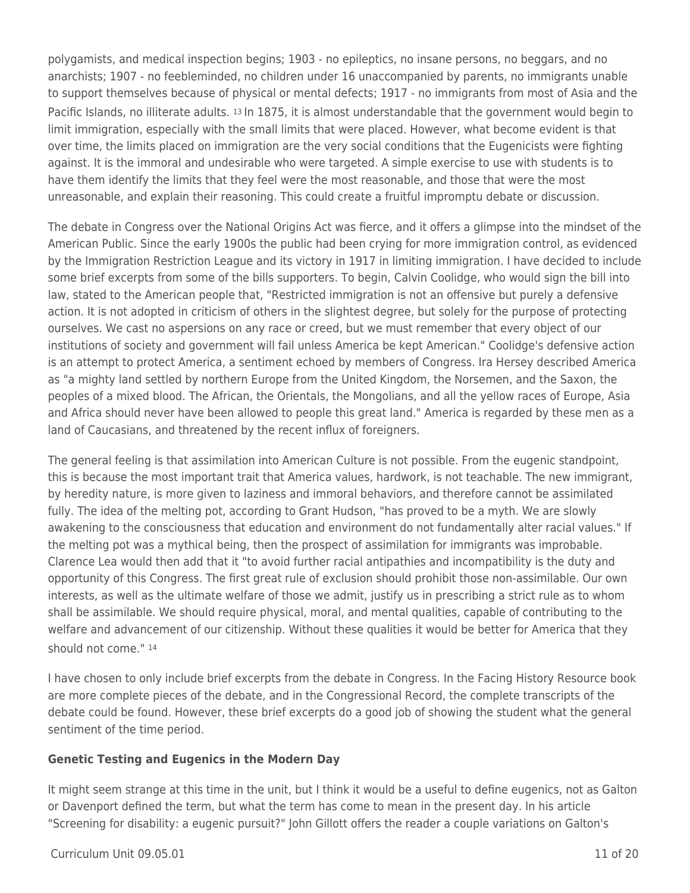polygamists, and medical inspection begins; 1903 - no epileptics, no insane persons, no beggars, and no anarchists; 1907 - no feebleminded, no children under 16 unaccompanied by parents, no immigrants unable to support themselves because of physical or mental defects; 1917 - no immigrants from most of Asia and the Pacific Islands, no illiterate adults. 13 In 1875, it is almost understandable that the government would begin to limit immigration, especially with the small limits that were placed. However, what become evident is that over time, the limits placed on immigration are the very social conditions that the Eugenicists were fighting against. It is the immoral and undesirable who were targeted. A simple exercise to use with students is to have them identify the limits that they feel were the most reasonable, and those that were the most unreasonable, and explain their reasoning. This could create a fruitful impromptu debate or discussion.

The debate in Congress over the National Origins Act was fierce, and it offers a glimpse into the mindset of the American Public. Since the early 1900s the public had been crying for more immigration control, as evidenced by the Immigration Restriction League and its victory in 1917 in limiting immigration. I have decided to include some brief excerpts from some of the bills supporters. To begin, Calvin Coolidge, who would sign the bill into law, stated to the American people that, "Restricted immigration is not an offensive but purely a defensive action. It is not adopted in criticism of others in the slightest degree, but solely for the purpose of protecting ourselves. We cast no aspersions on any race or creed, but we must remember that every object of our institutions of society and government will fail unless America be kept American." Coolidge's defensive action is an attempt to protect America, a sentiment echoed by members of Congress. Ira Hersey described America as "a mighty land settled by northern Europe from the United Kingdom, the Norsemen, and the Saxon, the peoples of a mixed blood. The African, the Orientals, the Mongolians, and all the yellow races of Europe, Asia and Africa should never have been allowed to people this great land." America is regarded by these men as a land of Caucasians, and threatened by the recent influx of foreigners.

The general feeling is that assimilation into American Culture is not possible. From the eugenic standpoint, this is because the most important trait that America values, hardwork, is not teachable. The new immigrant, by heredity nature, is more given to laziness and immoral behaviors, and therefore cannot be assimilated fully. The idea of the melting pot, according to Grant Hudson, "has proved to be a myth. We are slowly awakening to the consciousness that education and environment do not fundamentally alter racial values." If the melting pot was a mythical being, then the prospect of assimilation for immigrants was improbable. Clarence Lea would then add that it "to avoid further racial antipathies and incompatibility is the duty and opportunity of this Congress. The first great rule of exclusion should prohibit those non-assimilable. Our own interests, as well as the ultimate welfare of those we admit, justify us in prescribing a strict rule as to whom shall be assimilable. We should require physical, moral, and mental qualities, capable of contributing to the welfare and advancement of our citizenship. Without these qualities it would be better for America that they should not come." <sup>14</sup>

I have chosen to only include brief excerpts from the debate in Congress. In the Facing History Resource book are more complete pieces of the debate, and in the Congressional Record, the complete transcripts of the debate could be found. However, these brief excerpts do a good job of showing the student what the general sentiment of the time period.

#### **Genetic Testing and Eugenics in the Modern Day**

It might seem strange at this time in the unit, but I think it would be a useful to define eugenics, not as Galton or Davenport defined the term, but what the term has come to mean in the present day. In his article "Screening for disability: a eugenic pursuit?" John Gillott offers the reader a couple variations on Galton's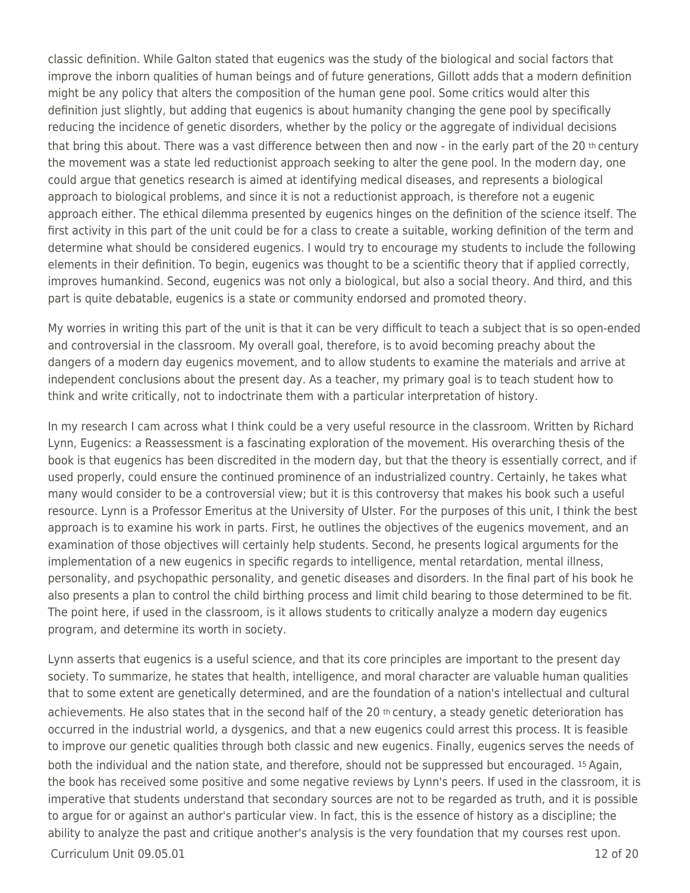classic definition. While Galton stated that eugenics was the study of the biological and social factors that improve the inborn qualities of human beings and of future generations, Gillott adds that a modern definition might be any policy that alters the composition of the human gene pool. Some critics would alter this definition just slightly, but adding that eugenics is about humanity changing the gene pool by specifically reducing the incidence of genetic disorders, whether by the policy or the aggregate of individual decisions that bring this about. There was a vast difference between then and now - in the early part of the 20 th century the movement was a state led reductionist approach seeking to alter the gene pool. In the modern day, one could argue that genetics research is aimed at identifying medical diseases, and represents a biological approach to biological problems, and since it is not a reductionist approach, is therefore not a eugenic approach either. The ethical dilemma presented by eugenics hinges on the definition of the science itself. The first activity in this part of the unit could be for a class to create a suitable, working definition of the term and determine what should be considered eugenics. I would try to encourage my students to include the following elements in their definition. To begin, eugenics was thought to be a scientific theory that if applied correctly, improves humankind. Second, eugenics was not only a biological, but also a social theory. And third, and this part is quite debatable, eugenics is a state or community endorsed and promoted theory.

My worries in writing this part of the unit is that it can be very difficult to teach a subject that is so open-ended and controversial in the classroom. My overall goal, therefore, is to avoid becoming preachy about the dangers of a modern day eugenics movement, and to allow students to examine the materials and arrive at independent conclusions about the present day. As a teacher, my primary goal is to teach student how to think and write critically, not to indoctrinate them with a particular interpretation of history.

In my research I cam across what I think could be a very useful resource in the classroom. Written by Richard Lynn, Eugenics: a Reassessment is a fascinating exploration of the movement. His overarching thesis of the book is that eugenics has been discredited in the modern day, but that the theory is essentially correct, and if used properly, could ensure the continued prominence of an industrialized country. Certainly, he takes what many would consider to be a controversial view; but it is this controversy that makes his book such a useful resource. Lynn is a Professor Emeritus at the University of Ulster. For the purposes of this unit, I think the best approach is to examine his work in parts. First, he outlines the objectives of the eugenics movement, and an examination of those objectives will certainly help students. Second, he presents logical arguments for the implementation of a new eugenics in specific regards to intelligence, mental retardation, mental illness, personality, and psychopathic personality, and genetic diseases and disorders. In the final part of his book he also presents a plan to control the child birthing process and limit child bearing to those determined to be fit. The point here, if used in the classroom, is it allows students to critically analyze a modern day eugenics program, and determine its worth in society.

Lynn asserts that eugenics is a useful science, and that its core principles are important to the present day society. To summarize, he states that health, intelligence, and moral character are valuable human qualities that to some extent are genetically determined, and are the foundation of a nation's intellectual and cultural achievements. He also states that in the second half of the 20 th century, a steady genetic deterioration has occurred in the industrial world, a dysgenics, and that a new eugenics could arrest this process. It is feasible to improve our genetic qualities through both classic and new eugenics. Finally, eugenics serves the needs of both the individual and the nation state, and therefore, should not be suppressed but encouraged. 15 Again, the book has received some positive and some negative reviews by Lynn's peers. If used in the classroom, it is imperative that students understand that secondary sources are not to be regarded as truth, and it is possible to argue for or against an author's particular view. In fact, this is the essence of history as a discipline; the ability to analyze the past and critique another's analysis is the very foundation that my courses rest upon.

 $C$ urriculum Unit 09.05.01 12 of 20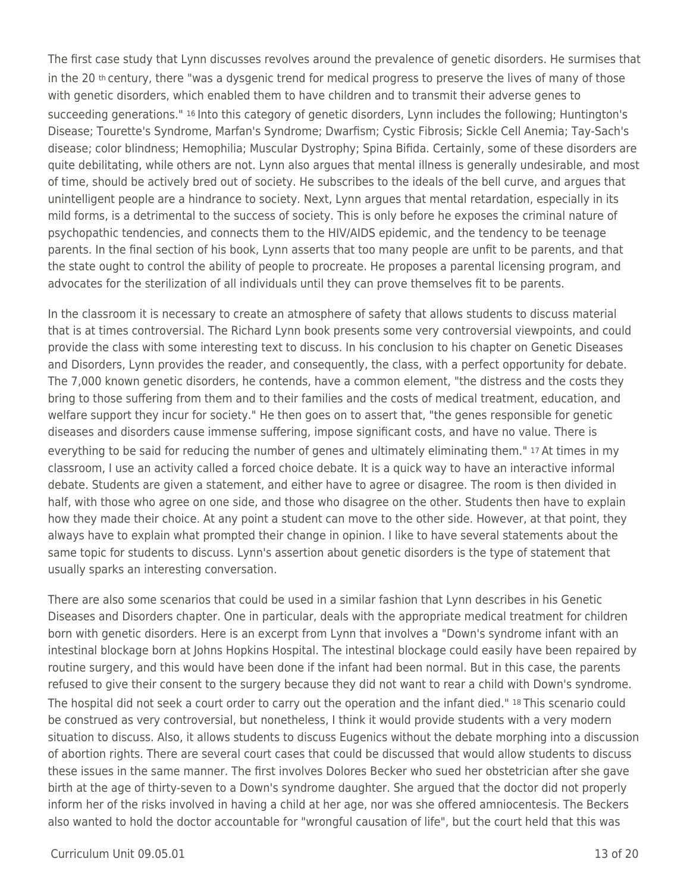The first case study that Lynn discusses revolves around the prevalence of genetic disorders. He surmises that in the 20 th century, there "was a dysgenic trend for medical progress to preserve the lives of many of those with genetic disorders, which enabled them to have children and to transmit their adverse genes to succeeding generations." 16 Into this category of genetic disorders, Lynn includes the following; Huntington's Disease; Tourette's Syndrome, Marfan's Syndrome; Dwarfism; Cystic Fibrosis; Sickle Cell Anemia; Tay-Sach's disease; color blindness; Hemophilia; Muscular Dystrophy; Spina Bifida. Certainly, some of these disorders are quite debilitating, while others are not. Lynn also argues that mental illness is generally undesirable, and most of time, should be actively bred out of society. He subscribes to the ideals of the bell curve, and argues that unintelligent people are a hindrance to society. Next, Lynn argues that mental retardation, especially in its mild forms, is a detrimental to the success of society. This is only before he exposes the criminal nature of psychopathic tendencies, and connects them to the HIV/AIDS epidemic, and the tendency to be teenage parents. In the final section of his book, Lynn asserts that too many people are unfit to be parents, and that the state ought to control the ability of people to procreate. He proposes a parental licensing program, and advocates for the sterilization of all individuals until they can prove themselves fit to be parents.

In the classroom it is necessary to create an atmosphere of safety that allows students to discuss material that is at times controversial. The Richard Lynn book presents some very controversial viewpoints, and could provide the class with some interesting text to discuss. In his conclusion to his chapter on Genetic Diseases and Disorders, Lynn provides the reader, and consequently, the class, with a perfect opportunity for debate. The 7,000 known genetic disorders, he contends, have a common element, "the distress and the costs they bring to those suffering from them and to their families and the costs of medical treatment, education, and welfare support they incur for society." He then goes on to assert that, "the genes responsible for genetic diseases and disorders cause immense suffering, impose significant costs, and have no value. There is everything to be said for reducing the number of genes and ultimately eliminating them." 17 At times in my classroom, I use an activity called a forced choice debate. It is a quick way to have an interactive informal debate. Students are given a statement, and either have to agree or disagree. The room is then divided in half, with those who agree on one side, and those who disagree on the other. Students then have to explain how they made their choice. At any point a student can move to the other side. However, at that point, they always have to explain what prompted their change in opinion. I like to have several statements about the same topic for students to discuss. Lynn's assertion about genetic disorders is the type of statement that usually sparks an interesting conversation.

There are also some scenarios that could be used in a similar fashion that Lynn describes in his Genetic Diseases and Disorders chapter. One in particular, deals with the appropriate medical treatment for children born with genetic disorders. Here is an excerpt from Lynn that involves a "Down's syndrome infant with an intestinal blockage born at Johns Hopkins Hospital. The intestinal blockage could easily have been repaired by routine surgery, and this would have been done if the infant had been normal. But in this case, the parents refused to give their consent to the surgery because they did not want to rear a child with Down's syndrome. The hospital did not seek a court order to carry out the operation and the infant died." 18 This scenario could be construed as very controversial, but nonetheless, I think it would provide students with a very modern situation to discuss. Also, it allows students to discuss Eugenics without the debate morphing into a discussion of abortion rights. There are several court cases that could be discussed that would allow students to discuss these issues in the same manner. The first involves Dolores Becker who sued her obstetrician after she gave birth at the age of thirty-seven to a Down's syndrome daughter. She argued that the doctor did not properly inform her of the risks involved in having a child at her age, nor was she offered amniocentesis. The Beckers also wanted to hold the doctor accountable for "wrongful causation of life", but the court held that this was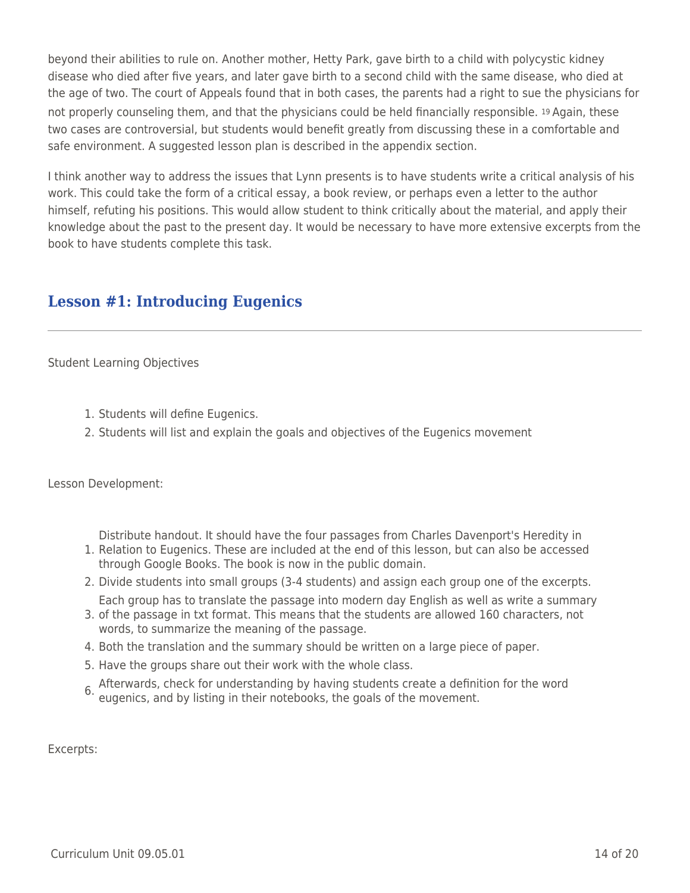beyond their abilities to rule on. Another mother, Hetty Park, gave birth to a child with polycystic kidney disease who died after five years, and later gave birth to a second child with the same disease, who died at the age of two. The court of Appeals found that in both cases, the parents had a right to sue the physicians for not properly counseling them, and that the physicians could be held financially responsible. 19 Again, these two cases are controversial, but students would benefit greatly from discussing these in a comfortable and safe environment. A suggested lesson plan is described in the appendix section.

I think another way to address the issues that Lynn presents is to have students write a critical analysis of his work. This could take the form of a critical essay, a book review, or perhaps even a letter to the author himself, refuting his positions. This would allow student to think critically about the material, and apply their knowledge about the past to the present day. It would be necessary to have more extensive excerpts from the book to have students complete this task.

## **Lesson #1: Introducing Eugenics**

Student Learning Objectives

- 1. Students will define Eugenics.
- 2. Students will list and explain the goals and objectives of the Eugenics movement

Lesson Development:

Distribute handout. It should have the four passages from Charles Davenport's Heredity in

- 1. Relation to Eugenics. These are included at the end of this lesson, but can also be accessed through Google Books. The book is now in the public domain.
- 2. Divide students into small groups (3-4 students) and assign each group one of the excerpts.
- 3. of the passage in txt format. This means that the students are allowed 160 characters, not Each group has to translate the passage into modern day English as well as write a summary words, to summarize the meaning of the passage.
- 4. Both the translation and the summary should be written on a large piece of paper.
- 5. Have the groups share out their work with the whole class.
- 6. Afterwards, check for understanding by having students create a definition for the word eugenics, and by listing in their notebooks, the goals of the movement.

Excerpts: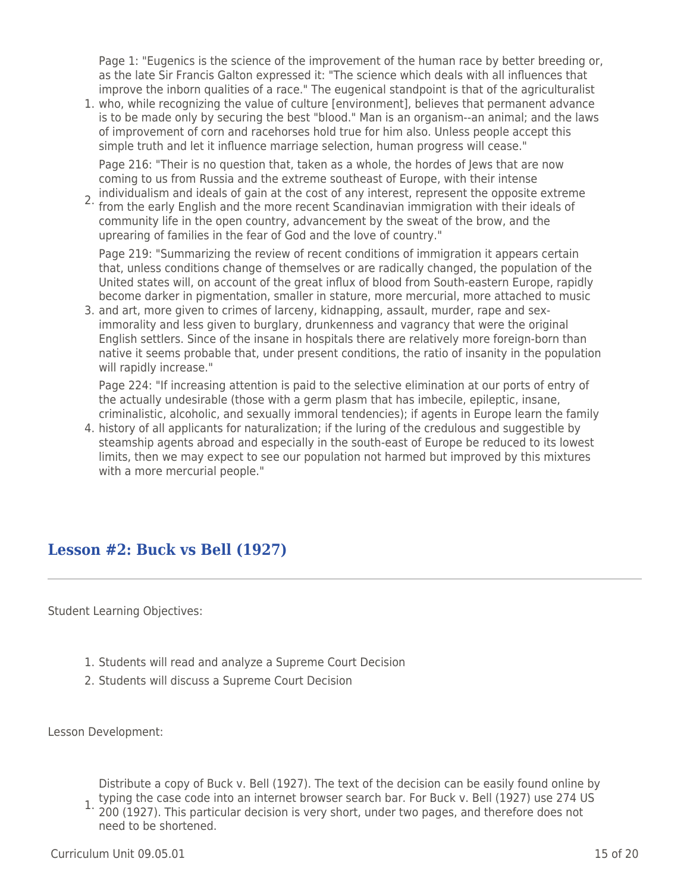Page 1: "Eugenics is the science of the improvement of the human race by better breeding or, as the late Sir Francis Galton expressed it: "The science which deals with all influences that improve the inborn qualities of a race." The eugenical standpoint is that of the agriculturalist

1. who, while recognizing the value of culture [environment], believes that permanent advance is to be made only by securing the best "blood." Man is an organism--an animal; and the laws of improvement of corn and racehorses hold true for him also. Unless people accept this simple truth and let it influence marriage selection, human progress will cease."

Page 216: "Their is no question that, taken as a whole, the hordes of Jews that are now coming to us from Russia and the extreme southeast of Europe, with their intense individualism and ideals of gain at the cost of any interest, represent the opposite extreme

2. from the early English and the more recent Scandinavian immigration with their ideals of community life in the open country, advancement by the sweat of the brow, and the uprearing of families in the fear of God and the love of country."

Page 219: "Summarizing the review of recent conditions of immigration it appears certain that, unless conditions change of themselves or are radically changed, the population of the United states will, on account of the great influx of blood from South-eastern Europe, rapidly become darker in pigmentation, smaller in stature, more mercurial, more attached to music

3. and art, more given to crimes of larceny, kidnapping, assault, murder, rape and seximmorality and less given to burglary, drunkenness and vagrancy that were the original English settlers. Since of the insane in hospitals there are relatively more foreign-born than native it seems probable that, under present conditions, the ratio of insanity in the population will rapidly increase."

Page 224: "If increasing attention is paid to the selective elimination at our ports of entry of the actually undesirable (those with a germ plasm that has imbecile, epileptic, insane, criminalistic, alcoholic, and sexually immoral tendencies); if agents in Europe learn the family

4. history of all applicants for naturalization; if the luring of the credulous and suggestible by steamship agents abroad and especially in the south-east of Europe be reduced to its lowest limits, then we may expect to see our population not harmed but improved by this mixtures with a more mercurial people."

## **Lesson #2: Buck vs Bell (1927)**

Student Learning Objectives:

- 1. Students will read and analyze a Supreme Court Decision
- 2. Students will discuss a Supreme Court Decision

Lesson Development:

1. Evenig the case code lifts an internet browser search bar. For Back V. Bell (1927) ase 274 to 200 (1927). This particular decision is very short, under two pages, and therefore does not Distribute a copy of Buck v. Bell (1927). The text of the decision can be easily found online by typing the case code into an internet browser search bar. For Buck v. Bell (1927) use 274 US need to be shortened.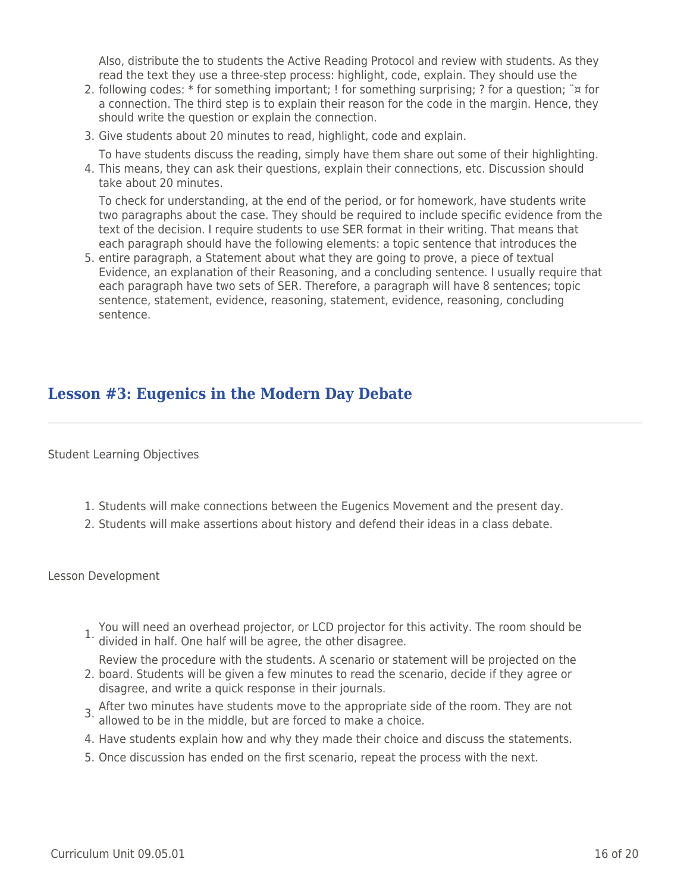Also, distribute the to students the Active Reading Protocol and review with students. As they read the text they use a three-step process: highlight, code, explain. They should use the

- 2. following codes: \* for something important; ! for something surprising; ? for a question; ¨¤ for a connection. The third step is to explain their reason for the code in the margin. Hence, they should write the question or explain the connection.
- 3. Give students about 20 minutes to read, highlight, code and explain.

To have students discuss the reading, simply have them share out some of their highlighting.

4. This means, they can ask their questions, explain their connections, etc. Discussion should take about 20 minutes.

To check for understanding, at the end of the period, or for homework, have students write two paragraphs about the case. They should be required to include specific evidence from the text of the decision. I require students to use SER format in their writing. That means that each paragraph should have the following elements: a topic sentence that introduces the

5. entire paragraph, a Statement about what they are going to prove, a piece of textual Evidence, an explanation of their Reasoning, and a concluding sentence. I usually require that each paragraph have two sets of SER. Therefore, a paragraph will have 8 sentences; topic sentence, statement, evidence, reasoning, statement, evidence, reasoning, concluding sentence.

## **Lesson #3: Eugenics in the Modern Day Debate**

Student Learning Objectives

- 1. Students will make connections between the Eugenics Movement and the present day.
- 2. Students will make assertions about history and defend their ideas in a class debate.

Lesson Development

1. You will need an overhead projector, or LCD projector for this activity. The room should be divided in half. One half will be agree, the other disagree.

Review the procedure with the students. A scenario or statement will be projected on the

- 2. board. Students will be given a few minutes to read the scenario, decide if they agree or disagree, and write a quick response in their journals.
- 3. After two minutes have students move to the appropriate side of the room. They are not allowed to be in the middle, but are forced to make a choice.
- 4. Have students explain how and why they made their choice and discuss the statements.
- 5. Once discussion has ended on the first scenario, repeat the process with the next.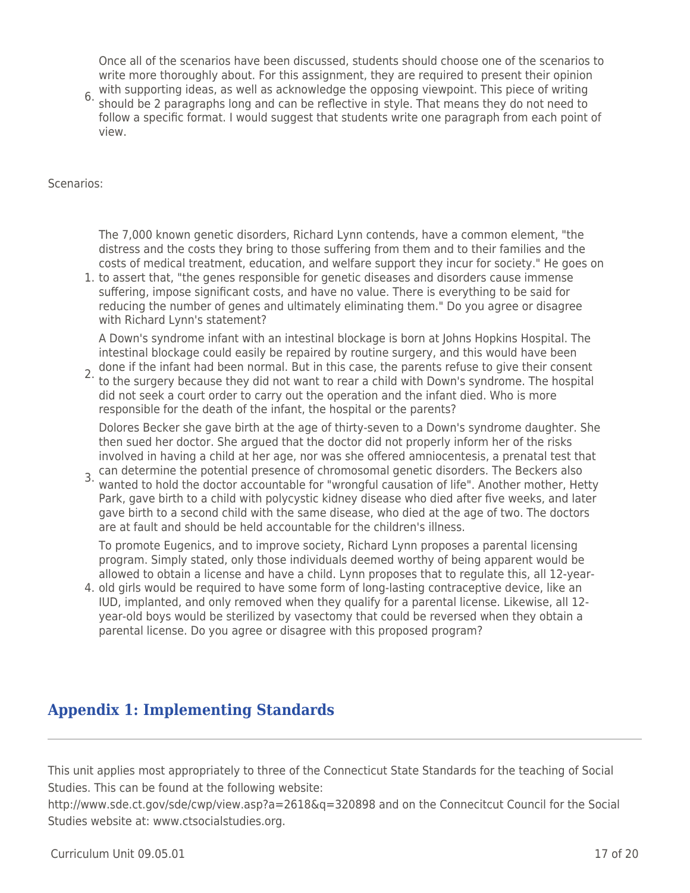Once all of the scenarios have been discussed, students should choose one of the scenarios to write more thoroughly about. For this assignment, they are required to present their opinion

6. with supporting ideas, as well as acknowledge the opposing viewpoint. This piece of writing should be 2 paragraphs long and can be reflective in style. That means they do not need to follow a specific format. I would suggest that students write one paragraph from each point of view.

Scenarios:

The 7,000 known genetic disorders, Richard Lynn contends, have a common element, "the distress and the costs they bring to those suffering from them and to their families and the costs of medical treatment, education, and welfare support they incur for society." He goes on

1. to assert that, "the genes responsible for genetic diseases and disorders cause immense suffering, impose significant costs, and have no value. There is everything to be said for reducing the number of genes and ultimately eliminating them." Do you agree or disagree with Richard Lynn's statement?

A Down's syndrome infant with an intestinal blockage is born at Johns Hopkins Hospital. The intestinal blockage could easily be repaired by routine surgery, and this would have been

2. done if the infant had been normal. But in this case, the parents refuse to give their consent<br>2. to the surgery because they did not want to rear a shild with Down's syndrome. The bespital to the surgery because they did not want to rear a child with Down's syndrome. The hospital did not seek a court order to carry out the operation and the infant died. Who is more responsible for the death of the infant, the hospital or the parents?

Dolores Becker she gave birth at the age of thirty-seven to a Down's syndrome daughter. She then sued her doctor. She argued that the doctor did not properly inform her of the risks involved in having a child at her age, nor was she offered amniocentesis, a prenatal test that

3. can determine the potential presence of chromosomal genetic disorders. The Beckers also<br>3. wanted to hold the dectar accountable for "wrongful causation of life". Another mether, He wanted to hold the doctor accountable for "wrongful causation of life". Another mother, Hetty Park, gave birth to a child with polycystic kidney disease who died after five weeks, and later gave birth to a second child with the same disease, who died at the age of two. The doctors are at fault and should be held accountable for the children's illness.

To promote Eugenics, and to improve society, Richard Lynn proposes a parental licensing program. Simply stated, only those individuals deemed worthy of being apparent would be allowed to obtain a license and have a child. Lynn proposes that to regulate this, all 12-year-

4. old girls would be required to have some form of long-lasting contraceptive device, like an IUD, implanted, and only removed when they qualify for a parental license. Likewise, all 12 year-old boys would be sterilized by vasectomy that could be reversed when they obtain a parental license. Do you agree or disagree with this proposed program?

# **Appendix 1: Implementing Standards**

This unit applies most appropriately to three of the Connecticut State Standards for the teaching of Social Studies. This can be found at the following website:

http://www.sde.ct.gov/sde/cwp/view.asp?a=2618&q=320898 and on the Connecitcut Council for the Social Studies website at: www.ctsocialstudies.org.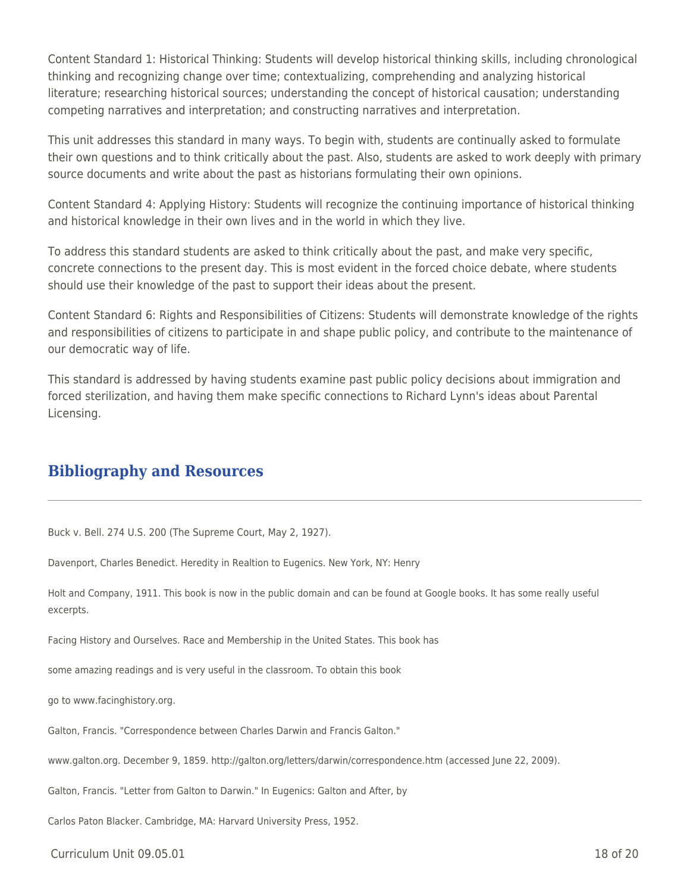Content Standard 1: Historical Thinking: Students will develop historical thinking skills, including chronological thinking and recognizing change over time; contextualizing, comprehending and analyzing historical literature; researching historical sources; understanding the concept of historical causation; understanding competing narratives and interpretation; and constructing narratives and interpretation.

This unit addresses this standard in many ways. To begin with, students are continually asked to formulate their own questions and to think critically about the past. Also, students are asked to work deeply with primary source documents and write about the past as historians formulating their own opinions.

Content Standard 4: Applying History: Students will recognize the continuing importance of historical thinking and historical knowledge in their own lives and in the world in which they live.

To address this standard students are asked to think critically about the past, and make very specific, concrete connections to the present day. This is most evident in the forced choice debate, where students should use their knowledge of the past to support their ideas about the present.

Content Standard 6: Rights and Responsibilities of Citizens: Students will demonstrate knowledge of the rights and responsibilities of citizens to participate in and shape public policy, and contribute to the maintenance of our democratic way of life.

This standard is addressed by having students examine past public policy decisions about immigration and forced sterilization, and having them make specific connections to Richard Lynn's ideas about Parental Licensing.

# **Bibliography and Resources**

Buck v. Bell. 274 U.S. 200 (The Supreme Court, May 2, 1927).

Davenport, Charles Benedict. Heredity in Realtion to Eugenics. New York, NY: Henry

Holt and Company, 1911. This book is now in the public domain and can be found at Google books. It has some really useful excerpts.

Facing History and Ourselves. Race and Membership in the United States. This book has

some amazing readings and is very useful in the classroom. To obtain this book

go to www.facinghistory.org.

Galton, Francis. "Correspondence between Charles Darwin and Francis Galton."

www.galton.org. December 9, 1859. http://galton.org/letters/darwin/correspondence.htm (accessed June 22, 2009).

Galton, Francis. "Letter from Galton to Darwin." In Eugenics: Galton and After, by

Carlos Paton Blacker. Cambridge, MA: Harvard University Press, 1952.

 $C$ urriculum Unit 09.05.01 18 of 20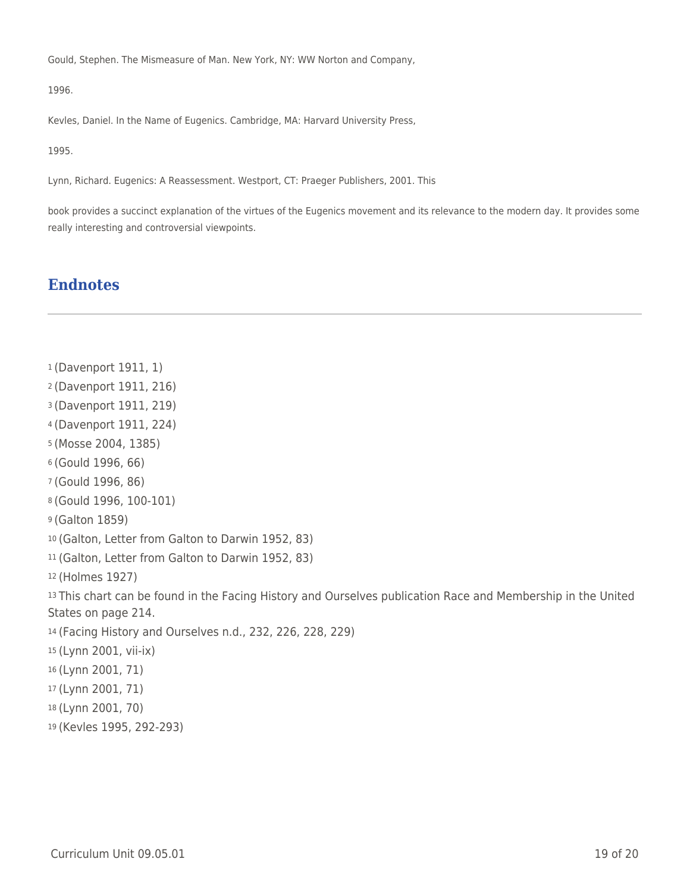Gould, Stephen. The Mismeasure of Man. New York, NY: WW Norton and Company,

1996.

Kevles, Daniel. In the Name of Eugenics. Cambridge, MA: Harvard University Press,

1995.

Lynn, Richard. Eugenics: A Reassessment. Westport, CT: Praeger Publishers, 2001. This

book provides a succinct explanation of the virtues of the Eugenics movement and its relevance to the modern day. It provides some really interesting and controversial viewpoints.

## **Endnotes**

(Davenport 1911, 1) (Davenport 1911, 216) (Davenport 1911, 219) (Davenport 1911, 224) (Mosse 2004, 1385) (Gould 1996, 66) (Gould 1996, 86) (Gould 1996, 100-101) (Galton 1859) (Galton, Letter from Galton to Darwin 1952, 83) (Galton, Letter from Galton to Darwin 1952, 83) (Holmes 1927) This chart can be found in the Facing History and Ourselves publication Race and Membership in the United States on page 214. (Facing History and Ourselves n.d., 232, 226, 228, 229) (Lynn 2001, vii-ix) (Lynn 2001, 71) (Lynn 2001, 71) (Lynn 2001, 70) (Kevles 1995, 292-293)